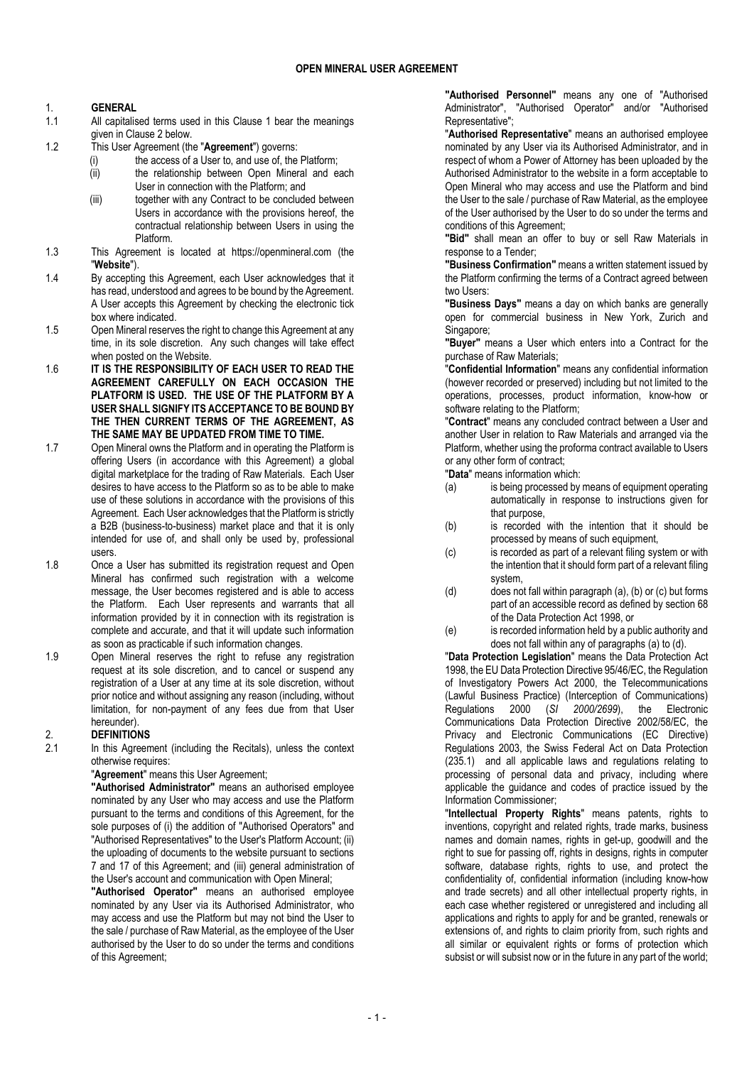# 1. GENERAL

- 1.1 All capitalised terms used in this Clause 1 bear the meanings given in Clause 2 below.
- 1.2 This User Agreement (the "Agreement") governs:
	- (i) the access of a User to, and use of, the Platform; (ii) the relationship between Open Mineral and each
	- User in connection with the Platform; and
	- (iii) together with any Contract to be concluded between Users in accordance with the provisions hereof, the contractual relationship between Users in using the Platform.
- 1.3 This Agreement is located at https://openmineral.com (the "Website").
- 1.4 By accepting this Agreement, each User acknowledges that it has read, understood and agrees to be bound by the Agreement. A User accepts this Agreement by checking the electronic tick box where indicated.
- 1.5 Open Mineral reserves the right to change this Agreement at any time, in its sole discretion. Any such changes will take effect when posted on the Website.
- 1.6 IT IS THE RESPONSIBILITY OF EACH USER TO READ THE AGREEMENT CAREFULLY ON EACH OCCASION THE PLATFORM IS USED. THE USE OF THE PLATFORM BY A USER SHALL SIGNIFY ITS ACCEPTANCE TO BE BOUND BY THE THEN CURRENT TERMS OF THE AGREEMENT, AS THE SAME MAY BE UPDATED FROM TIME TO TIME.
- 1.7 Open Mineral owns the Platform and in operating the Platform is offering Users (in accordance with this Agreement) a global digital marketplace for the trading of Raw Materials. Each User desires to have access to the Platform so as to be able to make use of these solutions in accordance with the provisions of this Agreement. Each User acknowledges that the Platform is strictly a B2B (business-to-business) market place and that it is only intended for use of, and shall only be used by, professional users.
- 1.8 Once a User has submitted its registration request and Open Mineral has confirmed such registration with a welcome message, the User becomes registered and is able to access the Platform. Each User represents and warrants that all information provided by it in connection with its registration is complete and accurate, and that it will update such information as soon as practicable if such information changes.
- 1.9 Open Mineral reserves the right to refuse any registration request at its sole discretion, and to cancel or suspend any registration of a User at any time at its sole discretion, without prior notice and without assigning any reason (including, without limitation, for non-payment of any fees due from that User hereunder).

# 2. DEFINITIONS

2.1 In this Agreement (including the Recitals), unless the context otherwise requires:

"Agreement" means this User Agreement;

"Authorised Administrator" means an authorised employee nominated by any User who may access and use the Platform pursuant to the terms and conditions of this Agreement, for the sole purposes of (i) the addition of "Authorised Operators" and "Authorised Representatives" to the User's Platform Account; (ii) the uploading of documents to the website pursuant to sections 7 and 17 of this Agreement; and (iii) general administration of the User's account and communication with Open Mineral;

"Authorised Operator" means an authorised employee nominated by any User via its Authorised Administrator, who may access and use the Platform but may not bind the User to the sale / purchase of Raw Material, as the employee of the User authorised by the User to do so under the terms and conditions of this Agreement;

"Authorised Personnel" means any one of "Authorised Administrator", "Authorised Operator" and/or "Authorised Representative";

"Authorised Representative" means an authorised employee nominated by any User via its Authorised Administrator, and in respect of whom a Power of Attorney has been uploaded by the Authorised Administrator to the website in a form acceptable to Open Mineral who may access and use the Platform and bind the User to the sale / purchase of Raw Material, as the employee of the User authorised by the User to do so under the terms and conditions of this Agreement;

"Bid" shall mean an offer to buy or sell Raw Materials in response to a Tender;

"Business Confirmation" means a written statement issued by the Platform confirming the terms of a Contract agreed between two Users:

"Business Days" means a day on which banks are generally open for commercial business in New York, Zurich and Singapore;

"Buyer" means a User which enters into a Contract for the purchase of Raw Materials;

"Confidential Information" means any confidential information (however recorded or preserved) including but not limited to the operations, processes, product information, know-how or software relating to the Platform;

"Contract" means any concluded contract between a User and another User in relation to Raw Materials and arranged via the Platform, whether using the proforma contract available to Users or any other form of contract;

"Data" means information which:

- (a) is being processed by means of equipment operating automatically in response to instructions given for that purpose,
- (b) is recorded with the intention that it should be processed by means of such equipment,
- (c) is recorded as part of a relevant filing system or with the intention that it should form part of a relevant filing system,
- (d) does not fall within paragraph (a), (b) or (c) but forms part of an accessible record as defined by section 68 of the Data Protection Act 1998, or
- (e) is recorded information held by a public authority and does not fall within any of paragraphs (a) to (d).

"Data Protection Legislation" means the Data Protection Act 1998, the EU Data Protection Directive 95/46/EC, the Regulation of Investigatory Powers Act 2000, the Telecommunications (Lawful Business Practice) (Interception of Communications) Regulations 2000 (SI 2000/2699), the Electronic Communications Data Protection Directive 2002/58/EC, the Privacy and Electronic Communications (EC Directive) Regulations 2003, the Swiss Federal Act on Data Protection (235.1) and all applicable laws and regulations relating to processing of personal data and privacy, including where applicable the guidance and codes of practice issued by the Information Commissioner;

"Intellectual Property Rights" means patents, rights to inventions, copyright and related rights, trade marks, business names and domain names, rights in get-up, goodwill and the right to sue for passing off, rights in designs, rights in computer software, database rights, rights to use, and protect the confidentiality of, confidential information (including know-how and trade secrets) and all other intellectual property rights, in each case whether registered or unregistered and including all applications and rights to apply for and be granted, renewals or extensions of, and rights to claim priority from, such rights and all similar or equivalent rights or forms of protection which subsist or will subsist now or in the future in any part of the world;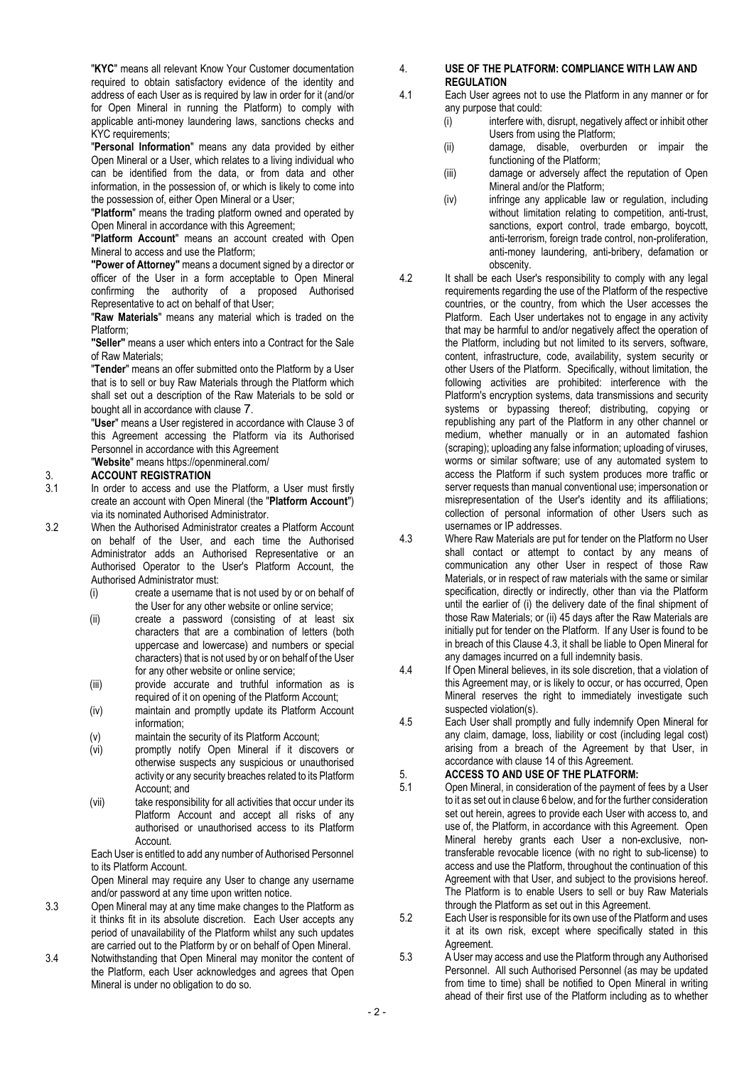"KYC" means all relevant Know Your Customer documentation required to obtain satisfactory evidence of the identity and address of each User as is required by law in order for it (and/or for Open Mineral in running the Platform) to comply with applicable anti-money laundering laws, sanctions checks and KYC requirements:

"Personal Information" means any data provided by either Open Mineral or a User, which relates to a living individual who can be identified from the data, or from data and other information, in the possession of, or which is likely to come into the possession of, either Open Mineral or a User;

"Platform" means the trading platform owned and operated by Open Mineral in accordance with this Agreement;

"Platform Account" means an account created with Open Mineral to access and use the Platform;

"Power of Attorney" means a document signed by a director or officer of the User in a form acceptable to Open Mineral confirming the authority of a proposed Authorised Representative to act on behalf of that User;

"Raw Materials" means any material which is traded on the Platform;

"Seller" means a user which enters into a Contract for the Sale of Raw Materials;

"Tender" means an offer submitted onto the Platform by a User that is to sell or buy Raw Materials through the Platform which shall set out a description of the Raw Materials to be sold or bought all in accordance with clause 7.

"User" means a User registered in accordance with Clause 3 of this Agreement accessing the Platform via its Authorised Personnel in accordance with this Agreement

"Website" means https://openmineral.com/

# 3. ACCOUNT REGISTRATION

- 3.1 In order to access and use the Platform, a User must firstly create an account with Open Mineral (the "Platform Account") via its nominated Authorised Administrator.
- 3.2 When the Authorised Administrator creates a Platform Account on behalf of the User, and each time the Authorised Administrator adds an Authorised Representative or an Authorised Operator to the User's Platform Account, the Authorised Administrator must:
	- (i) create a username that is not used by or on behalf of the User for any other website or online service;
	- (ii) create a password (consisting of at least six characters that are a combination of letters (both uppercase and lowercase) and numbers or special characters) that is not used by or on behalf of the User for any other website or online service;
	- (iii) provide accurate and truthful information as is required of it on opening of the Platform Account;
	- (iv) maintain and promptly update its Platform Account information;
	- (v) maintain the security of its Platform Account;
	- (vi) promptly notify Open Mineral if it discovers or otherwise suspects any suspicious or unauthorised activity or any security breaches related to its Platform Account; and
	- (vii) take responsibility for all activities that occur under its Platform Account and accept all risks of any authorised or unauthorised access to its Platform Account.

Each User is entitled to add any number of Authorised Personnel to its Platform Account.

Open Mineral may require any User to change any username and/or password at any time upon written notice.

- 3.3 Open Mineral may at any time make changes to the Platform as it thinks fit in its absolute discretion. Each User accepts any period of unavailability of the Platform whilst any such updates are carried out to the Platform by or on behalf of Open Mineral.
- 3.4 Notwithstanding that Open Mineral may monitor the content of the Platform, each User acknowledges and agrees that Open Mineral is under no obligation to do so.
- 4. USE OF THE PLATFORM: COMPLIANCE WITH LAW AND **REGULATION**
- 4.1 Each User agrees not to use the Platform in any manner or for any purpose that could:
	- (i) interfere with, disrupt, negatively affect or inhibit other Users from using the Platform;
	- (ii) damage, disable, overburden or impair the functioning of the Platform;
	- (iii) damage or adversely affect the reputation of Open Mineral and/or the Platform;
	- (iv) infringe any applicable law or regulation, including without limitation relating to competition, anti-trust, sanctions, export control, trade embargo, boycott, anti-terrorism, foreign trade control, non-proliferation, anti-money laundering, anti-bribery, defamation or obscenity.
- 4.2 It shall be each User's responsibility to comply with any legal requirements regarding the use of the Platform of the respective countries, or the country, from which the User accesses the Platform. Each User undertakes not to engage in any activity that may be harmful to and/or negatively affect the operation of the Platform, including but not limited to its servers, software, content, infrastructure, code, availability, system security or other Users of the Platform. Specifically, without limitation, the following activities are prohibited: interference with the Platform's encryption systems, data transmissions and security systems or bypassing thereof; distributing, copying or republishing any part of the Platform in any other channel or medium, whether manually or in an automated fashion (scraping); uploading any false information; uploading of viruses, worms or similar software; use of any automated system to access the Platform if such system produces more traffic or server requests than manual conventional use; impersonation or misrepresentation of the User's identity and its affiliations; collection of personal information of other Users such as usernames or IP addresses.
- 4.3 Where Raw Materials are put for tender on the Platform no User shall contact or attempt to contact by any means of communication any other User in respect of those Raw Materials, or in respect of raw materials with the same or similar specification, directly or indirectly, other than via the Platform until the earlier of (i) the delivery date of the final shipment of those Raw Materials; or (ii) 45 days after the Raw Materials are initially put for tender on the Platform. If any User is found to be in breach of this Clause 4.3, it shall be liable to Open Mineral for any damages incurred on a full indemnity basis.
- 4.4 If Open Mineral believes, in its sole discretion, that a violation of this Agreement may, or is likely to occur, or has occurred, Open Mineral reserves the right to immediately investigate such suspected violation(s).
- 4.5 Each User shall promptly and fully indemnify Open Mineral for any claim, damage, loss, liability or cost (including legal cost) arising from a breach of the Agreement by that User, in accordance with clause 14 of this Agreement.

# 5. **ACCESS TO AND USE OF THE PLATFORM:**<br>5.1 Open Mineral in consideration of the nayment of

- 5.1 Open Mineral, in consideration of the payment of fees by a User to it as set out in clause 6 below, and for the further consideration set out herein, agrees to provide each User with access to, and use of, the Platform, in accordance with this Agreement. Open Mineral hereby grants each User a non-exclusive, nontransferable revocable licence (with no right to sub-license) to access and use the Platform, throughout the continuation of this Agreement with that User, and subject to the provisions hereof. The Platform is to enable Users to sell or buy Raw Materials through the Platform as set out in this Agreement.
- 5.2 Each User is responsible for its own use of the Platform and uses it at its own risk, except where specifically stated in this Agreement.
- 5.3 A User may access and use the Platform through any Authorised Personnel. All such Authorised Personnel (as may be updated from time to time) shall be notified to Open Mineral in writing ahead of their first use of the Platform including as to whether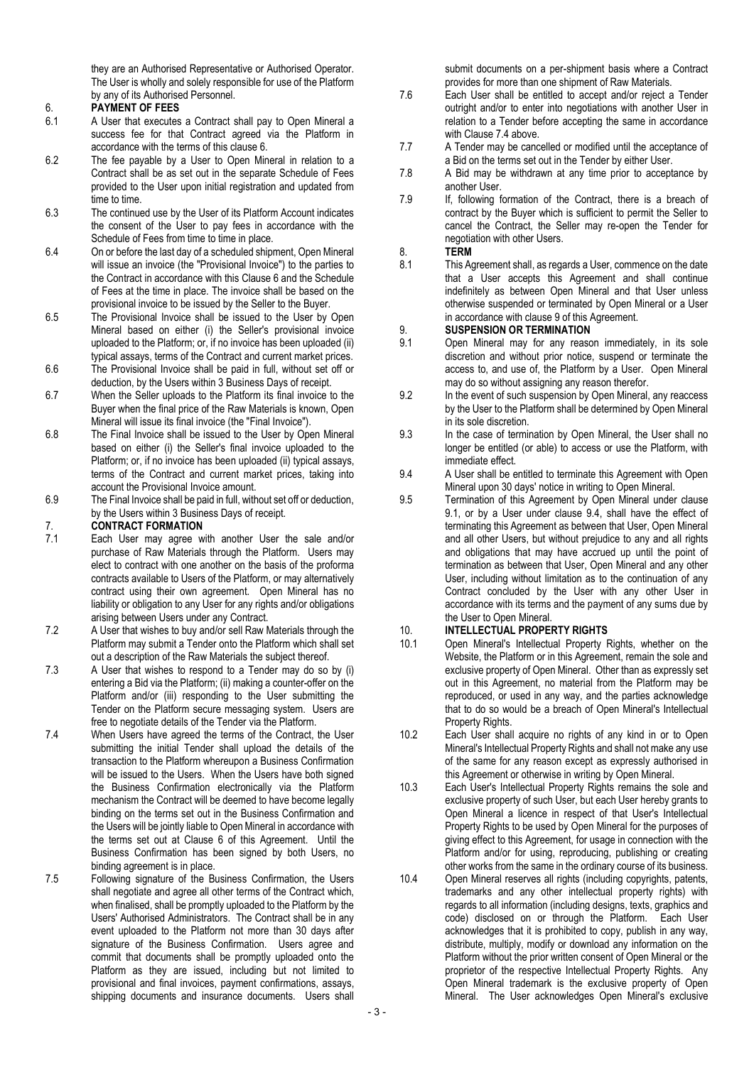they are an Authorised Representative or Authorised Operator. The User is wholly and solely responsible for use of the Platform by any of its Authorised Personnel.

# 6. **PAYMENT OF FEES**<br>6.1 A User that executes

- 6.1 A User that executes a Contract shall pay to Open Mineral a success fee for that Contract agreed via the Platform in accordance with the terms of this clause 6.
- 6.2 The fee payable by a User to Open Mineral in relation to a Contract shall be as set out in the separate Schedule of Fees provided to the User upon initial registration and updated from time to time.
- 6.3 The continued use by the User of its Platform Account indicates the consent of the User to pay fees in accordance with the Schedule of Fees from time to time in place.
- 6.4 On or before the last day of a scheduled shipment, Open Mineral will issue an invoice (the "Provisional Invoice") to the parties to the Contract in accordance with this Clause 6 and the Schedule of Fees at the time in place. The invoice shall be based on the provisional invoice to be issued by the Seller to the Buyer.
- 6.5 The Provisional Invoice shall be issued to the User by Open Mineral based on either (i) the Seller's provisional invoice uploaded to the Platform; or, if no invoice has been uploaded (ii) typical assays, terms of the Contract and current market prices.
- 6.6 The Provisional Invoice shall be paid in full, without set off or deduction, by the Users within 3 Business Days of receipt.
- 6.7 When the Seller uploads to the Platform its final invoice to the Buyer when the final price of the Raw Materials is known, Open Mineral will issue its final invoice (the "Final Invoice").
- 6.8 The Final Invoice shall be issued to the User by Open Mineral based on either (i) the Seller's final invoice uploaded to the Platform; or, if no invoice has been uploaded (ii) typical assays, terms of the Contract and current market prices, taking into account the Provisional Invoice amount.
- 6.9 The Final Invoice shall be paid in full, without set off or deduction, by the Users within 3 Business Days of receipt.

# 7. CONTRACT FORMATION

- 7.1 Each User may agree with another User the sale and/or purchase of Raw Materials through the Platform. Users may elect to contract with one another on the basis of the proforma contracts available to Users of the Platform, or may alternatively contract using their own agreement. Open Mineral has no liability or obligation to any User for any rights and/or obligations arising between Users under any Contract.
- 7.2 A User that wishes to buy and/or sell Raw Materials through the Platform may submit a Tender onto the Platform which shall set out a description of the Raw Materials the subject thereof.
- 7.3 A User that wishes to respond to a Tender may do so by (i) entering a Bid via the Platform; (ii) making a counter-offer on the Platform and/or (iii) responding to the User submitting the Tender on the Platform secure messaging system. Users are free to negotiate details of the Tender via the Platform.
- 7.4 When Users have agreed the terms of the Contract, the User submitting the initial Tender shall upload the details of the transaction to the Platform whereupon a Business Confirmation will be issued to the Users. When the Users have both signed the Business Confirmation electronically via the Platform mechanism the Contract will be deemed to have become legally binding on the terms set out in the Business Confirmation and the Users will be jointly liable to Open Mineral in accordance with the terms set out at Clause 6 of this Agreement. Until the Business Confirmation has been signed by both Users, no binding agreement is in place.
- 7.5 Following signature of the Business Confirmation, the Users shall negotiate and agree all other terms of the Contract which, when finalised, shall be promptly uploaded to the Platform by the Users' Authorised Administrators. The Contract shall be in any event uploaded to the Platform not more than 30 days after signature of the Business Confirmation. Users agree and commit that documents shall be promptly uploaded onto the Platform as they are issued, including but not limited to provisional and final invoices, payment confirmations, assays, shipping documents and insurance documents. Users shall

submit documents on a per-shipment basis where a Contract provides for more than one shipment of Raw Materials.

- 7.6 Each User shall be entitled to accept and/or reject a Tender outright and/or to enter into negotiations with another User in relation to a Tender before accepting the same in accordance with Clause 7.4 above.
- 7.7 A Tender may be cancelled or modified until the acceptance of a Bid on the terms set out in the Tender by either User.
- 7.8 A Bid may be withdrawn at any time prior to acceptance by another User.
- 7.9 If, following formation of the Contract, there is a breach of contract by the Buyer which is sufficient to permit the Seller to cancel the Contract, the Seller may re-open the Tender for negotiation with other Users.

# 8. **TERM**<br>8.1 This Ad

This Agreement shall, as regards a User, commence on the date that a User accepts this Agreement and shall continue indefinitely as between Open Mineral and that User unless otherwise suspended or terminated by Open Mineral or a User in accordance with clause 9 of this Agreement.

### 9. SUSPENSION OR TERMINATION

- 9.1 Open Mineral may for any reason immediately, in its sole discretion and without prior notice, suspend or terminate the access to, and use of, the Platform by a User. Open Mineral may do so without assigning any reason therefor.
- 9.2 In the event of such suspension by Open Mineral, any reaccess by the User to the Platform shall be determined by Open Mineral in its sole discretion.
- 9.3 In the case of termination by Open Mineral, the User shall no longer be entitled (or able) to access or use the Platform, with immediate effect.
- 9.4 A User shall be entitled to terminate this Agreement with Open Mineral upon 30 days' notice in writing to Open Mineral.
- 9.5 Termination of this Agreement by Open Mineral under clause 9.1, or by a User under clause 9.4, shall have the effect of terminating this Agreement as between that User, Open Mineral and all other Users, but without prejudice to any and all rights and obligations that may have accrued up until the point of termination as between that User, Open Mineral and any other User, including without limitation as to the continuation of any Contract concluded by the User with any other User in accordance with its terms and the payment of any sums due by the User to Open Mineral.

# 10. **INTELLECTUAL PROPERTY RIGHTS**<br>10.1 Open Mineral's Intellectual Property F

- 10.1 Open Mineral's Intellectual Property Rights, whether on the Website, the Platform or in this Agreement, remain the sole and exclusive property of Open Mineral. Other than as expressly set out in this Agreement, no material from the Platform may be reproduced, or used in any way, and the parties acknowledge that to do so would be a breach of Open Mineral's Intellectual Property Rights.
- 10.2 Each User shall acquire no rights of any kind in or to Open Mineral's Intellectual Property Rights and shall not make any use of the same for any reason except as expressly authorised in this Agreement or otherwise in writing by Open Mineral.
- 10.3 Each User's Intellectual Property Rights remains the sole and exclusive property of such User, but each User hereby grants to Open Mineral a licence in respect of that User's Intellectual Property Rights to be used by Open Mineral for the purposes of giving effect to this Agreement, for usage in connection with the Platform and/or for using, reproducing, publishing or creating other works from the same in the ordinary course of its business.
- 10.4 Open Mineral reserves all rights (including copyrights, patents, trademarks and any other intellectual property rights) with regards to all information (including designs, texts, graphics and code) disclosed on or through the Platform. Each User acknowledges that it is prohibited to copy, publish in any way, distribute, multiply, modify or download any information on the Platform without the prior written consent of Open Mineral or the proprietor of the respective Intellectual Property Rights. Any Open Mineral trademark is the exclusive property of Open Mineral. The User acknowledges Open Mineral's exclusive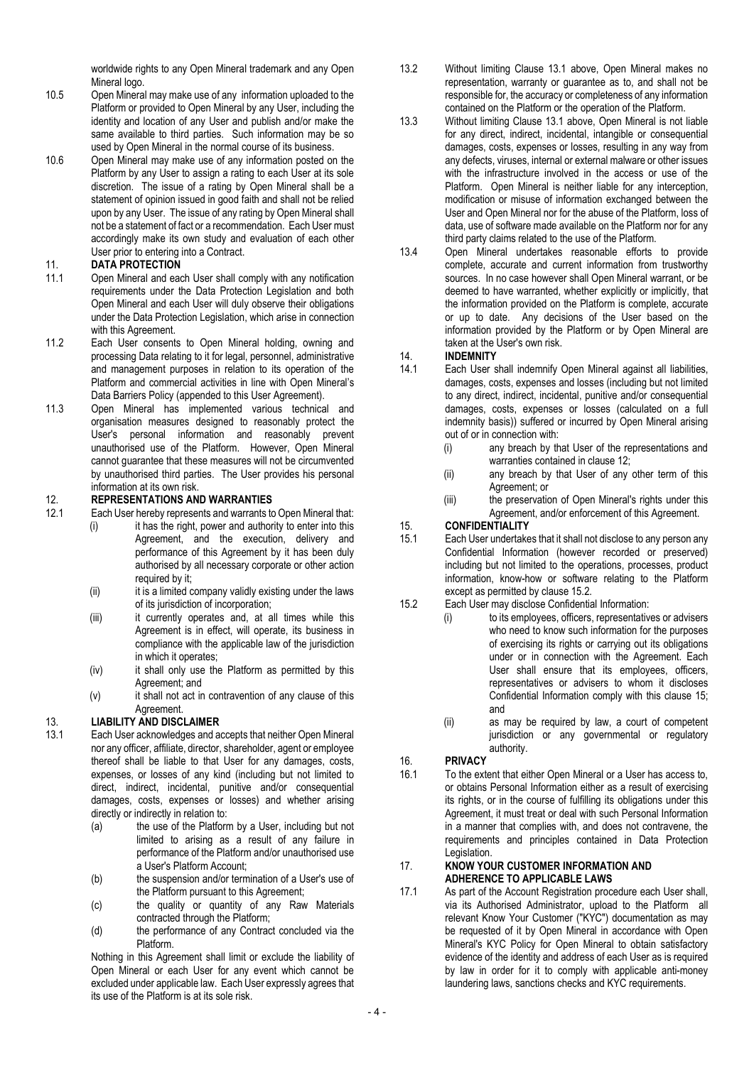worldwide rights to any Open Mineral trademark and any Open Mineral logo.

- 10.5 Open Mineral may make use of any information uploaded to the Platform or provided to Open Mineral by any User, including the identity and location of any User and publish and/or make the same available to third parties. Such information may be so used by Open Mineral in the normal course of its business.
- 10.6 Open Mineral may make use of any information posted on the Platform by any User to assign a rating to each User at its sole discretion. The issue of a rating by Open Mineral shall be a statement of opinion issued in good faith and shall not be relied upon by any User. The issue of any rating by Open Mineral shall not be a statement of fact or a recommendation. Each User must accordingly make its own study and evaluation of each other User prior to entering into a Contract.

#### 11. DATA PROTECTION

- 11.1 Open Mineral and each User shall comply with any notification requirements under the Data Protection Legislation and both Open Mineral and each User will duly observe their obligations under the Data Protection Legislation, which arise in connection with this Agreement.
- 11.2 Each User consents to Open Mineral holding, owning and processing Data relating to it for legal, personnel, administrative and management purposes in relation to its operation of the Platform and commercial activities in line with Open Mineral's Data Barriers Policy (appended to this User Agreement).
- 11.3 Open Mineral has implemented various technical and organisation measures designed to reasonably protect the User's personal information and reasonably prevent unauthorised use of the Platform. However, Open Mineral cannot guarantee that these measures will not be circumvented by unauthorised third parties. The User provides his personal information at its own risk.

# 12. REPRESENTATIONS AND WARRANTIES<br>12.1 Each User hereby represents and warrants to

- Each User hereby represents and warrants to Open Mineral that:
	- (i) it has the right, power and authority to enter into this Agreement, and the execution, delivery and performance of this Agreement by it has been duly authorised by all necessary corporate or other action required by it;
	- (ii) it is a limited company validly existing under the laws of its jurisdiction of incorporation;
	- (iii) it currently operates and, at all times while this Agreement is in effect, will operate, its business in compliance with the applicable law of the jurisdiction in which it operates;
	- (iv) it shall only use the Platform as permitted by this Agreement; and
	- (v) it shall not act in contravention of any clause of this Agreement.

# 13. LIABILITY AND DISCLAIMER

- 13.1 Each User acknowledges and accepts that neither Open Mineral nor any officer, affiliate, director, shareholder, agent or employee thereof shall be liable to that User for any damages, costs, expenses, or losses of any kind (including but not limited to direct, indirect, incidental, punitive and/or consequential damages, costs, expenses or losses) and whether arising directly or indirectly in relation to:
	- (a) the use of the Platform by a User, including but not limited to arising as a result of any failure in performance of the Platform and/or unauthorised use a User's Platform Account;
	- (b) the suspension and/or termination of a User's use of the Platform pursuant to this Agreement;
	- (c) the quality or quantity of any Raw Materials contracted through the Platform;
	- (d) the performance of any Contract concluded via the Platform.

Nothing in this Agreement shall limit or exclude the liability of Open Mineral or each User for any event which cannot be excluded under applicable law. Each User expressly agrees that its use of the Platform is at its sole risk.

- 13.2 Without limiting Clause 13.1 above, Open Mineral makes no representation, warranty or guarantee as to, and shall not be responsible for, the accuracy or completeness of any information contained on the Platform or the operation of the Platform.
- 13.3 Without limiting Clause 13.1 above, Open Mineral is not liable for any direct, indirect, incidental, intangible or consequential damages, costs, expenses or losses, resulting in any way from any defects, viruses, internal or external malware or other issues with the infrastructure involved in the access or use of the Platform. Open Mineral is neither liable for any interception, modification or misuse of information exchanged between the User and Open Mineral nor for the abuse of the Platform, loss of data, use of software made available on the Platform nor for any third party claims related to the use of the Platform.
- 13.4 Open Mineral undertakes reasonable efforts to provide complete, accurate and current information from trustworthy sources. In no case however shall Open Mineral warrant, or be deemed to have warranted, whether explicitly or implicitly, that the information provided on the Platform is complete, accurate or up to date. Any decisions of the User based on the information provided by the Platform or by Open Mineral are taken at the User's own risk.

# 14. **INDEMNITY**<br>14.1 Each User s

- Each User shall indemnify Open Mineral against all liabilities, damages, costs, expenses and losses (including but not limited to any direct, indirect, incidental, punitive and/or consequential damages, costs, expenses or losses (calculated on a full indemnity basis)) suffered or incurred by Open Mineral arising out of or in connection with:
	- (i) any breach by that User of the representations and warranties contained in clause 12;
	- (ii) any breach by that User of any other term of this Agreement; or
	- (iii) the preservation of Open Mineral's rights under this Agreement, and/or enforcement of this Agreement.

# 15. CONFIDENTIALITY

15.1 Each User undertakes that it shall not disclose to any person any Confidential Information (however recorded or preserved) including but not limited to the operations, processes, product information, know-how or software relating to the Platform except as permitted by clause 15.2.

# 15.2 Each User may disclose Confidential Information:

- (i) to its employees, officers, representatives or advisers who need to know such information for the purposes of exercising its rights or carrying out its obligations under or in connection with the Agreement. Each User shall ensure that its employees, officers, representatives or advisers to whom it discloses Confidential Information comply with this clause 15; and
	- (ii) as may be required by law, a court of competent jurisdiction or any governmental or regulatory authority.

# 16. PRIVACY

16.1 To the extent that either Open Mineral or a User has access to, or obtains Personal Information either as a result of exercising its rights, or in the course of fulfilling its obligations under this Agreement, it must treat or deal with such Personal Information in a manner that complies with, and does not contravene, the requirements and principles contained in Data Protection Legislation.

#### 17. KNOW YOUR CUSTOMER INFORMATION AND ADHERENCE TO APPLICABLE LAWS

17.1 As part of the Account Registration procedure each User shall, via its Authorised Administrator, upload to the Platform all relevant Know Your Customer ("KYC") documentation as may be requested of it by Open Mineral in accordance with Open Mineral's KYC Policy for Open Mineral to obtain satisfactory evidence of the identity and address of each User as is required by law in order for it to comply with applicable anti-money laundering laws, sanctions checks and KYC requirements.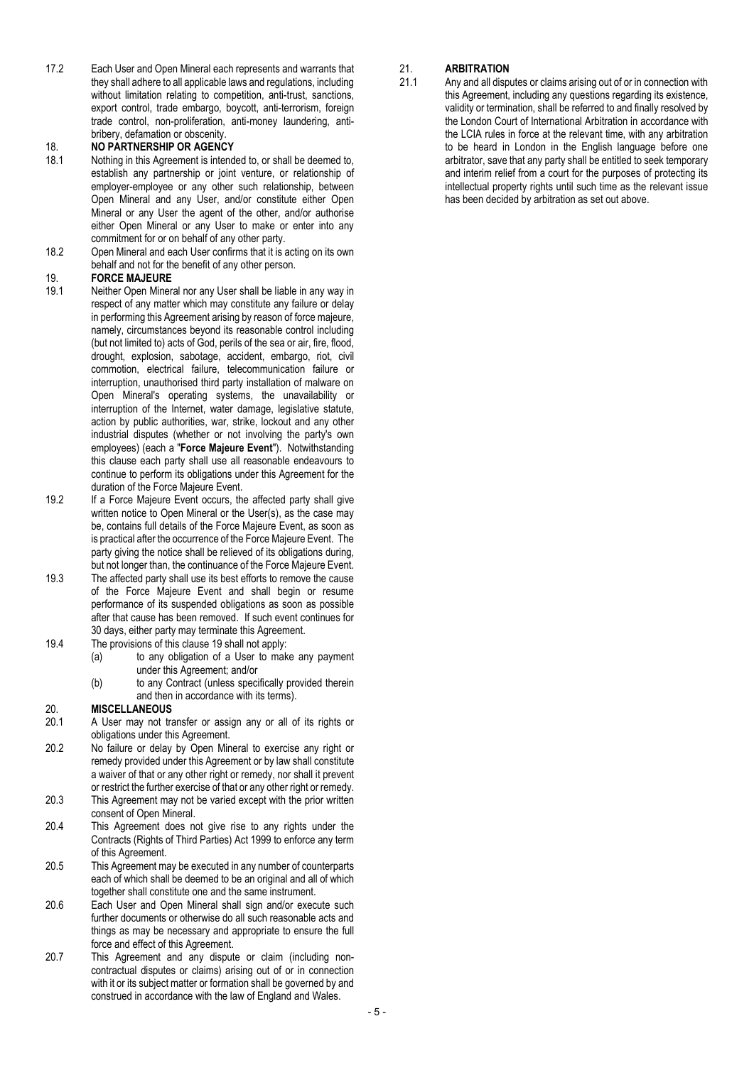17.2 Each User and Open Mineral each represents and warrants that they shall adhere to all applicable laws and regulations, including without limitation relating to competition, anti-trust, sanctions, export control, trade embargo, boycott, anti-terrorism, foreign trade control, non-proliferation, anti-money laundering, antibribery, defamation or obscenity.

# 18. **NO PARTNERSHIP OR AGENCY**<br>18.1 Nothing in this Agreement is intend

- Nothing in this Agreement is intended to, or shall be deemed to, establish any partnership or joint venture, or relationship of employer-employee or any other such relationship, between Open Mineral and any User, and/or constitute either Open Mineral or any User the agent of the other, and/or authorise either Open Mineral or any User to make or enter into any commitment for or on behalf of any other party.
- 18.2 Open Mineral and each User confirms that it is acting on its own behalf and not for the benefit of any other person.

# 19. FORCE MAJEURE

- 19.1 Neither Open Mineral nor any User shall be liable in any way in respect of any matter which may constitute any failure or delay in performing this Agreement arising by reason of force majeure, namely, circumstances beyond its reasonable control including (but not limited to) acts of God, perils of the sea or air, fire, flood, drought, explosion, sabotage, accident, embargo, riot, civil commotion, electrical failure, telecommunication failure or interruption, unauthorised third party installation of malware on Open Mineral's operating systems, the unavailability or interruption of the Internet, water damage, legislative statute, action by public authorities, war, strike, lockout and any other industrial disputes (whether or not involving the party's own employees) (each a "Force Majeure Event"). Notwithstanding this clause each party shall use all reasonable endeavours to continue to perform its obligations under this Agreement for the duration of the Force Majeure Event.
- 19.2 If a Force Majeure Event occurs, the affected party shall give written notice to Open Mineral or the User(s), as the case may be, contains full details of the Force Majeure Event, as soon as is practical after the occurrence of the Force Majeure Event. The party giving the notice shall be relieved of its obligations during, but not longer than, the continuance of the Force Majeure Event.
- 19.3 The affected party shall use its best efforts to remove the cause of the Force Majeure Event and shall begin or resume performance of its suspended obligations as soon as possible after that cause has been removed. If such event continues for 30 days, either party may terminate this Agreement.
- 19.4 The provisions of this clause 19 shall not apply:
	- (a) to any obligation of a User to make any payment under this Agreement; and/or
	- (b) to any Contract (unless specifically provided therein and then in accordance with its terms).

### 20. MISCELLANEOUS

- 20.1 A User may not transfer or assign any or all of its rights or obligations under this Agreement.
- 20.2 No failure or delay by Open Mineral to exercise any right or remedy provided under this Agreement or by law shall constitute a waiver of that or any other right or remedy, nor shall it prevent or restrict the further exercise of that or any other right or remedy.
- 20.3 This Agreement may not be varied except with the prior written consent of Open Mineral.
- 20.4 This Agreement does not give rise to any rights under the Contracts (Rights of Third Parties) Act 1999 to enforce any term of this Agreement.
- 20.5 This Agreement may be executed in any number of counterparts each of which shall be deemed to be an original and all of which together shall constitute one and the same instrument.
- 20.6 Each User and Open Mineral shall sign and/or execute such further documents or otherwise do all such reasonable acts and things as may be necessary and appropriate to ensure the full force and effect of this Agreement.
- 20.7 This Agreement and any dispute or claim (including noncontractual disputes or claims) arising out of or in connection with it or its subject matter or formation shall be governed by and construed in accordance with the law of England and Wales.

# 21. **ARBITRATION**<br>21.1 Any and all dispi

Any and all disputes or claims arising out of or in connection with this Agreement, including any questions regarding its existence, validity or termination, shall be referred to and finally resolved by the London Court of International Arbitration in accordance with the LCIA rules in force at the relevant time, with any arbitration to be heard in London in the English language before one arbitrator, save that any party shall be entitled to seek temporary and interim relief from a court for the purposes of protecting its intellectual property rights until such time as the relevant issue has been decided by arbitration as set out above.